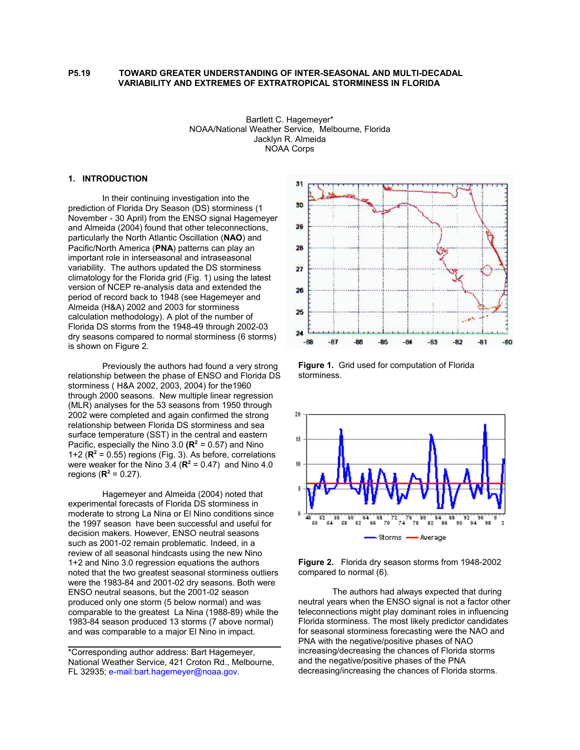#### **P5.19 TOWARD GREATER UNDERSTANDING OF INTER-SEASONAL AND MULTI-DECADAL VARIABILITY AND EXTREMES OF EXTRATROPICAL STORMINESS IN FLORIDA**

Bartlett C. Hagemeyer\* NOAA/National Weather Service, Melbourne, Florida Jacklyn R. Almeida NOAA Corps

# **1. INTRODUCTION**

In their continuing investigation into the prediction of Florida Dry Season (DS) storminess (1 November - 30 April) from the ENSO signal Hagemeyer and Almeida (2004) found that other teleconnections, particularly the North Atlantic Oscillation (**NAO**) and Pacific/North America (**PNA**) patterns can play an important role in interseasonal and intraseasonal variability. The authors updated the DS storminess climatology for the Florida grid (Fig. 1) using the latest version of NCEP re-analysis data and extended the period of record back to 1948 (see Hagemeyer and Almeida (H&A) 2002 and 2003 for storminess calculation methodology). A plot of the number of Florida DS storms from the 1948-49 through 2002-03 dry seasons compared to normal storminess (6 storms) is shown on Figure 2.

Previously the authors had found a very strong relationship between the phase of ENSO and Florida DS storminess ( H&A 2002, 2003, 2004) for the1960 through 2000 seasons. New multiple linear regression (MLR) analyses for the 53 seasons from 1950 through 2002 were completed and again confirmed the strong relationship between Florida DS storminess and sea surface temperature (SST) in the central and eastern Pacific, especially the Nino 3.0  $(\mathbb{R}^2 = 0.57)$  and Nino 1+2 ( $\mathbb{R}^2$  = 0.55) regions (Fig. 3). As before, correlations were weaker for the Nino 3.4  $(\mathbb{R}^2 = 0.47)$  and Nino 4.0 regions ( $R^2 = 0.27$ ).

Hagemeyer and Almeida (2004) noted that experimental forecasts of Florida DS storminess in moderate to strong La Nina or El Nino conditions since the 1997 season have been successful and useful for decision makers. However, ENSO neutral seasons such as 2001-02 remain problematic. Indeed, in a review of all seasonal hindcasts using the new Nino 1+2 and Nino 3.0 regression equations the authors noted that the two greatest seasonal storminess outliers were the 1983-84 and 2001-02 dry seasons. Both were ENSO neutral seasons, but the 2001-02 season produced only one storm (5 below normal) and was comparable to the greatest La Nina (1988-89) while the 1983-84 season produced 13 storms (7 above normal) and was comparable to a major El Nino in impact.



**Figure 1.** Grid used for computation of Florida storminess.



**Figure 2.** Florida dry season storms from 1948-2002 compared to normal (6).

The authors had always expected that during neutral years when the ENSO signal is not a factor other teleconnections might play dominant roles in influencing Florida storminess. The most likely predictor candidates for seasonal storminess forecasting were the NAO and PNA with the negative/positive phases of NAO increasing/decreasing the chances of Florida storms and the negative/positive phases of the PNA decreasing/increasing the chances of Florida storms.

<sup>\*</sup>Corresponding author address: Bart Hagemeyer, National Weather Service, 421 Croton Rd., Melbourne, FL 32935; e-mail:bart.hagemeyer@noaa.gov.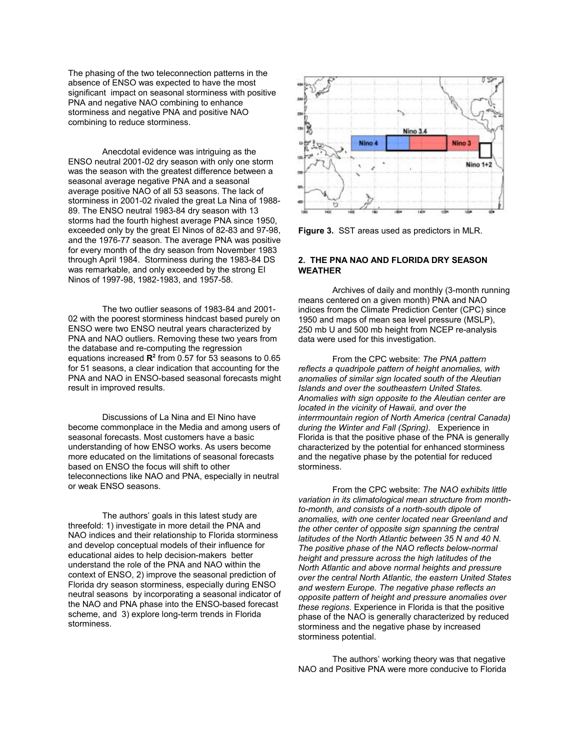The phasing of the two teleconnection patterns in the absence of ENSO was expected to have the most significant impact on seasonal storminess with positive PNA and negative NAO combining to enhance storminess and negative PNA and positive NAO combining to reduce storminess.

Anecdotal evidence was intriguing as the ENSO neutral 2001-02 dry season with only one storm was the season with the greatest difference between a seasonal average negative PNA and a seasonal average positive NAO of all 53 seasons. The lack of storminess in 2001-02 rivaled the great La Nina of 1988- 89. The ENSO neutral 1983-84 dry season with 13 storms had the fourth highest average PNA since 1950, exceeded only by the great El Ninos of 82-83 and 97-98, and the 1976-77 season. The average PNA was positive for every month of the dry season from November 1983 through April 1984. Storminess during the 1983-84 DS was remarkable, and only exceeded by the strong El Ninos of 1997-98, 1982-1983, and 1957-58.

The two outlier seasons of 1983-84 and 2001- 02 with the poorest storminess hindcast based purely on ENSO were two ENSO neutral years characterized by PNA and NAO outliers. Removing these two years from the database and re-computing the regression equations increased R<sup>2</sup> from 0.57 for 53 seasons to 0.65 for 51 seasons, a clear indication that accounting for the PNA and NAO in ENSO-based seasonal forecasts might result in improved results.

Discussions of La Nina and El Nino have become commonplace in the Media and among users of seasonal forecasts. Most customers have a basic understanding of how ENSO works. As users become more educated on the limitations of seasonal forecasts based on ENSO the focus will shift to other teleconnections like NAO and PNA, especially in neutral or weak ENSO seasons.

The authors' goals in this latest study are threefold: 1) investigate in more detail the PNA and NAO indices and their relationship to Florida storminess and develop conceptual models of their influence for educational aides to help decision-makers better understand the role of the PNA and NAO within the context of ENSO, 2) improve the seasonal prediction of Florida dry season storminess, especially during ENSO neutral seasons by incorporating a seasonal indicator of the NAO and PNA phase into the ENSO-based forecast scheme, and 3) explore long-term trends in Florida storminess.



**Figure 3.** SST areas used as predictors in MLR.

#### **2. THE PNA NAO AND FLORIDA DRY SEASON WEATHER**

Archives of daily and monthly (3-month running means centered on a given month) PNA and NAO indices from the Climate Prediction Center (CPC) since 1950 and maps of mean sea level pressure (MSLP), 250 mb U and 500 mb height from NCEP re-analysis data were used for this investigation.

From the CPC website: *The PNA pattern reflects a quadripole pattern of height anomalies, with anomalies of similar sign located south of the Aleutian Islands and over the southeastern United States. Anomalies with sign opposite to the Aleutian center are located in the vicinity of Hawaii, and over the interrmountain region of North America (central Canada) during the Winter and Fall (Spring).* Experience in Florida is that the positive phase of the PNA is generally characterized by the potential for enhanced storminess and the negative phase by the potential for reduced storminess.

From the CPC website: *The NAO exhibits little variation in its climatological mean structure from monthto-month, and consists of a north-south dipole of anomalies, with one center located near Greenland and the other center of opposite sign spanning the central latitudes of the North Atlantic between 35 N and 40 N. The positive phase of the NAO reflects below-normal height and pressure across the high latitudes of the North Atlantic and above normal heights and pressure over the central North Atlantic, the eastern United States and western Europe. The negative phase reflects an opposite pattern of height and pressure anomalies over these regions.* Experience in Florida is that the positive phase of the NAO is generally characterized by reduced storminess and the negative phase by increased storminess potential.

The authors' working theory was that negative NAO and Positive PNA were more conducive to Florida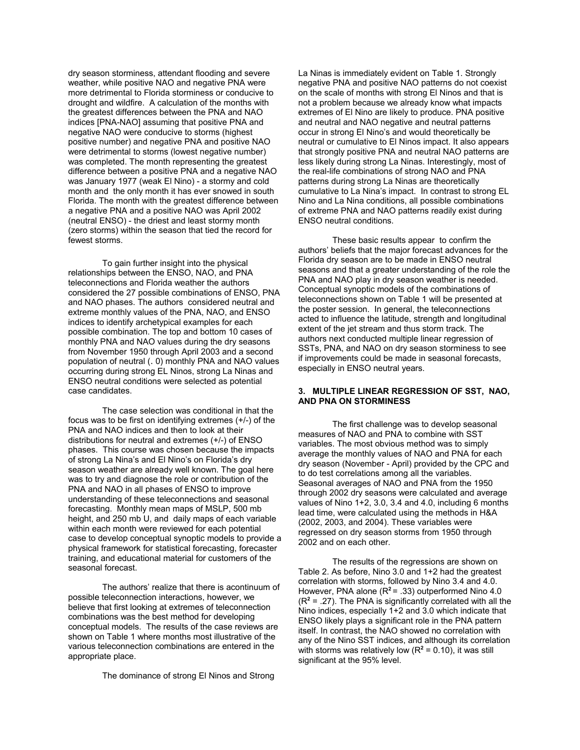dry season storminess, attendant flooding and severe weather, while positive NAO and negative PNA were more detrimental to Florida storminess or conducive to drought and wildfire. A calculation of the months with the greatest differences between the PNA and NAO indices [PNA-NAO] assuming that positive PNA and negative NAO were conducive to storms (highest positive number) and negative PNA and positive NAO were detrimental to storms (lowest negative number) was completed. The month representing the greatest difference between a positive PNA and a negative NAO was January 1977 (weak El Nino) - a stormy and cold month and the only month it has ever snowed in south Florida. The month with the greatest difference between a negative PNA and a positive NAO was April 2002 (neutral ENSO) - the driest and least stormy month (zero storms) within the season that tied the record for fewest storms.

To gain further insight into the physical relationships between the ENSO, NAO, and PNA teleconnections and Florida weather the authors considered the 27 possible combinations of ENSO, PNA and NAO phases. The authors considered neutral and extreme monthly values of the PNA, NAO, and ENSO indices to identify archetypical examples for each possible combination. The top and bottom 10 cases of monthly PNA and NAO values during the dry seasons from November 1950 through April 2003 and a second population of neutral (.0) monthly PNA and NAO values occurring during strong EL Ninos, strong La Ninas and ENSO neutral conditions were selected as potential case candidates.

The case selection was conditional in that the focus was to be first on identifying extremes (+/-) of the PNA and NAO indices and then to look at their distributions for neutral and extremes (+/-) of ENSO phases. This course was chosen because the impacts of strong La Nina's and El Nino's on Florida's dry season weather are already well known. The goal here was to try and diagnose the role or contribution of the PNA and NAO in all phases of ENSO to improve understanding of these teleconnections and seasonal forecasting. Monthly mean maps of MSLP, 500 mb height, and 250 mb U, and daily maps of each variable within each month were reviewed for each potential case to develop conceptual synoptic models to provide a physical framework for statistical forecasting, forecaster training, and educational material for customers of the seasonal forecast.

The authors' realize that there is acontinuum of possible teleconnection interactions, however, we believe that first looking at extremes of teleconnection combinations was the best method for developing conceptual models. The results of the case reviews are shown on Table 1 where months most illustrative of the various teleconnection combinations are entered in the appropriate place.

The dominance of strong El Ninos and Strong

La Ninas is immediately evident on Table 1. Strongly negative PNA and positive NAO patterns do not coexist on the scale of months with strong El Ninos and that is not a problem because we already know what impacts extremes of El Nino are likely to produce. PNA positive and neutral and NAO negative and neutral patterns occur in strong El Nino's and would theoretically be neutral or cumulative to El Ninos impact. It also appears that strongly positive PNA and neutral NAO patterns are less likely during strong La Ninas. Interestingly, most of the real-life combinations of strong NAO and PNA patterns during strong La Ninas are theoretically cumulative to La Nina's impact. In contrast to strong EL Nino and La Nina conditions, all possible combinations of extreme PNA and NAO patterns readily exist during ENSO neutral conditions.

These basic results appear to confirm the authors' beliefs that the major forecast advances for the Florida dry season are to be made in ENSO neutral seasons and that a greater understanding of the role the PNA and NAO play in dry season weather is needed. Conceptual synoptic models of the combinations of teleconnections shown on Table 1 will be presented at the poster session. In general, the teleconnections acted to influence the latitude, strength and longitudinal extent of the jet stream and thus storm track. The authors next conducted multiple linear regression of SSTs, PNA, and NAO on dry season storminess to see if improvements could be made in seasonal forecasts, especially in ENSO neutral years.

#### **3. MULTIPLE LINEAR REGRESSION OF SST, NAO, AND PNA ON STORMINESS**

The first challenge was to develop seasonal measures of NAO and PNA to combine with SST variables. The most obvious method was to simply average the monthly values of NAO and PNA for each dry season (November - April) provided by the CPC and to do test correlations among all the variables. Seasonal averages of NAO and PNA from the 1950 through 2002 dry seasons were calculated and average values of Nino 1+2, 3.0, 3.4 and 4.0, including 6 months lead time, were calculated using the methods in H&A (2002, 2003, and 2004). These variables were regressed on dry season storms from 1950 through 2002 and on each other.

The results of the regressions are shown on Table 2. As before, Nino 3.0 and 1+2 had the greatest correlation with storms, followed by Nino 3.4 and 4.0. However, PNA alone (R**<sup>2</sup>**= .33) outperformed Nino 4.0  $(R<sup>2</sup> = .27)$ . The PNA is significantly correlated with all the Nino indices, especially 1+2 and 3.0 which indicate that ENSO likely plays a significant role in the PNA pattern itself. In contrast, the NAO showed no correlation with any of the Nino SST indices, and although its correlation with storms was relatively low  $(R^2 = 0.10)$ , it was still significant at the 95% level.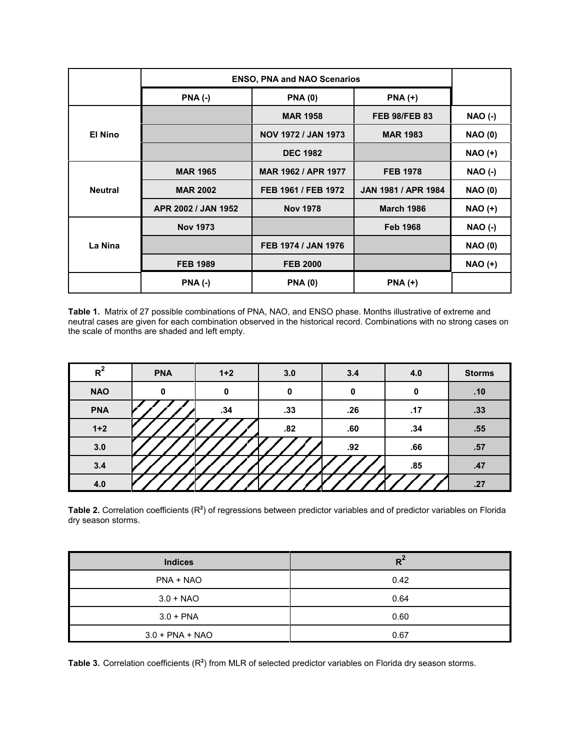|                | <b>ENSO, PNA and NAO Scenarios</b> |                            |                            |                |
|----------------|------------------------------------|----------------------------|----------------------------|----------------|
|                | $PNA$ $(-)$                        | <b>PNA (0)</b>             | $PNA (+)$                  |                |
|                |                                    | <b>MAR 1958</b>            | <b>FEB 98/FEB 83</b>       | <b>NAO (-)</b> |
| <b>El Nino</b> |                                    | <b>NOV 1972 / JAN 1973</b> | <b>MAR 1983</b>            | <b>NAO (0)</b> |
|                |                                    | <b>DEC 1982</b>            |                            | <b>NAO (+)</b> |
| <b>Neutral</b> | <b>MAR 1965</b>                    | <b>MAR 1962 / APR 1977</b> | <b>FEB 1978</b>            | <b>NAO (-)</b> |
|                | <b>MAR 2002</b>                    | FEB 1961 / FEB 1972        | <b>JAN 1981 / APR 1984</b> | <b>NAO (0)</b> |
|                | APR 2002 / JAN 1952                | <b>Nov 1978</b>            | <b>March 1986</b>          | $NAO (+)$      |
| La Nina        | <b>Nov 1973</b>                    |                            | <b>Feb 1968</b>            | <b>NAO (-)</b> |
|                |                                    | FEB 1974 / JAN 1976        |                            | <b>NAO (0)</b> |
|                | <b>FEB 1989</b>                    | <b>FEB 2000</b>            |                            | $NAO (+)$      |
|                | <b>PNA (-)</b>                     | <b>PNA(0)</b>              | <b>PNA (+)</b>             |                |

**Table 1.** Matrix of 27 possible combinations of PNA, NAO, and ENSO phase. Months illustrative of extreme and neutral cases are given for each combination observed in the historical record. Combinations with no strong cases on the scale of months are shaded and left empty.

| $R^2$      | <b>PNA</b> | $1+2$ | 3.0 | 3.4 | 4.0 | <b>Storms</b> |
|------------|------------|-------|-----|-----|-----|---------------|
| <b>NAO</b> | 0          | 0     | 0   | 0   | 0   | .10           |
| <b>PNA</b> |            | .34   | .33 | .26 | .17 | .33           |
| $1+2$      |            |       | .82 | .60 | .34 | .55           |
| 3.0        |            |       |     | .92 | .66 | .57           |
| 3.4        |            |       |     |     | .85 | .47           |
| 4.0        |            |       |     |     |     | .27           |

**Table 2.** Correlation coefficients (R**<sup>2</sup>** ) of regressions between predictor variables and of predictor variables on Florida dry season storms.

| <b>Indices</b>    | $R^2$ |
|-------------------|-------|
| PNA + NAO         | 0.42  |
| $3.0 + NAO$       | 0.64  |
| $3.0 + PNA$       | 0.60  |
| $3.0 + PNA + NAO$ | 0.67  |

Table 3. Correlation coefficients (R<sup>2</sup>) from MLR of selected predictor variables on Florida dry season storms.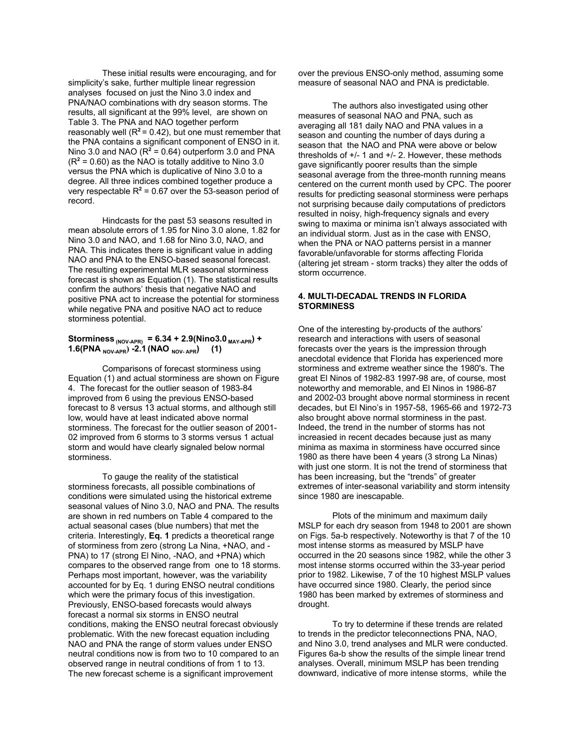These initial results were encouraging, and for simplicity's sake, further multiple linear regression analyses focused on just the Nino 3.0 index and PNA/NAO combinations with dry season storms. The results, all significant at the 99% level, are shown on Table 3. The PNA and NAO together perform reasonably well  $(R^2 = 0.42)$ , but one must remember that the PNA contains a significant component of ENSO in it. Nino 3.0 and NAO  $(R^2 = 0.64)$  outperform 3.0 and PNA  $(R<sup>2</sup> = 0.60)$  as the NAO is totally additive to Nino 3.0 versus the PNA which is duplicative of Nino 3.0 to a degree. All three indices combined together produce a very respectable  $R^2$  = 0.67 over the 53-season period of record.

Hindcasts for the past 53 seasons resulted in mean absolute errors of 1.95 for Nino 3.0 alone, 1.82 for Nino 3.0 and NAO, and 1.68 for Nino 3.0, NAO, and PNA. This indicates there is significant value in adding NAO and PNA to the ENSO-based seasonal forecast. The resulting experimental MLR seasonal storminess forecast is shown as Equation (1). The statistical results confirm the authors' thesis that negative NAO and positive PNA act to increase the potential for storminess while negative PNA and positive NAO act to reduce storminess potential.

## Storminess  $_{(NOV-APR)}$  = 6.34 + 2.9(Nino3.0  $_{MAY-APR}$ ) + **1.6(PNA** NOV-APR) -2.1 **(NAO** NOV-APR) (1)

Comparisons of forecast storminess using Equation (1) and actual storminess are shown on Figure 4. The forecast for the outlier season of 1983-84 improved from 6 using the previous ENSO-based forecast to 8 versus 13 actual storms, and although still low, would have at least indicated above normal storminess. The forecast for the outlier season of 2001- 02 improved from 6 storms to 3 storms versus 1 actual storm and would have clearly signaled below normal storminess.

To gauge the reality of the statistical storminess forecasts, all possible combinations of conditions were simulated using the historical extreme seasonal values of Nino 3.0, NAO and PNA. The results are shown in red numbers on Table 4 compared to the actual seasonal cases (blue numbers) that met the criteria. Interestingly, **Eq. 1** predicts a theoretical range of storminess from zero (strong La Nina, +NAO, and - PNA) to 17 (strong El Nino, -NAO, and +PNA) which compares to the observed range from one to 18 storms. Perhaps most important, however, was the variability accounted for by Eq. 1 during ENSO neutral conditions which were the primary focus of this investigation. Previously, ENSO-based forecasts would always forecast a normal six storms in ENSO neutral conditions, making the ENSO neutral forecast obviously problematic. With the new forecast equation including NAO and PNA the range of storm values under ENSO neutral conditions now is from two to 10 compared to an observed range in neutral conditions of from 1 to 13. The new forecast scheme is a significant improvement

over the previous ENSO-only method, assuming some measure of seasonal NAO and PNA is predictable.

The authors also investigated using other measures of seasonal NAO and PNA, such as averaging all 181 daily NAO and PNA values in a season and counting the number of days during a season that the NAO and PNA were above or below thresholds of +/- 1 and +/- 2. However, these methods gave significantly poorer results than the simple seasonal average from the three-month running means centered on the current month used by CPC. The poorer results for predicting seasonal storminess were perhaps not surprising because daily computations of predictors resulted in noisy, high-frequency signals and every swing to maxima or minima isn't always associated with an individual storm. Just as in the case with ENSO, when the PNA or NAO patterns persist in a manner favorable/unfavorable for storms affecting Florida (altering jet stream - storm tracks) they alter the odds of storm occurrence.

## **4. MULTI-DECADAL TRENDS IN FLORIDA STORMINESS**

One of the interesting by-products of the authors' research and interactions with users of seasonal forecasts over the years is the impression through anecdotal evidence that Florida has experienced more storminess and extreme weather since the 1980's. The great El Ninos of 1982-83 1997-98 are, of course, most noteworthy and memorable, and El Ninos in 1986-87 and 2002-03 brought above normal storminess in recent decades, but El Nino's in 1957-58, 1965-66 and 1972-73 also brought above normal storminess in the past. Indeed, the trend in the number of storms has not increasied in recent decades because just as many minima as maxima in storminess have occurred since 1980 as there have been 4 years (3 strong La Ninas) with just one storm. It is not the trend of storminess that has been increasing, but the "trends" of greater extremes of inter-seasonal variability and storm intensity since 1980 are inescapable.

Plots of the minimum and maximum daily MSLP for each dry season from 1948 to 2001 are shown on Figs. 5a-b respectively. Noteworthy is that 7 of the 10 most intense storms as measured by MSLP have occurred in the 20 seasons since 1982, while the other 3 most intense storms occurred within the 33-year period prior to 1982. Likewise, 7 of the 10 highest MSLP values have occurred since 1980. Clearly, the period since 1980 has been marked by extremes of storminess and drought.

To try to determine if these trends are related to trends in the predictor teleconnections PNA, NAO, and Nino 3.0, trend analyses and MLR were conducted. Figures 6a-b show the results of the simple linear trend analyses. Overall, minimum MSLP has been trending downward, indicative of more intense storms, while the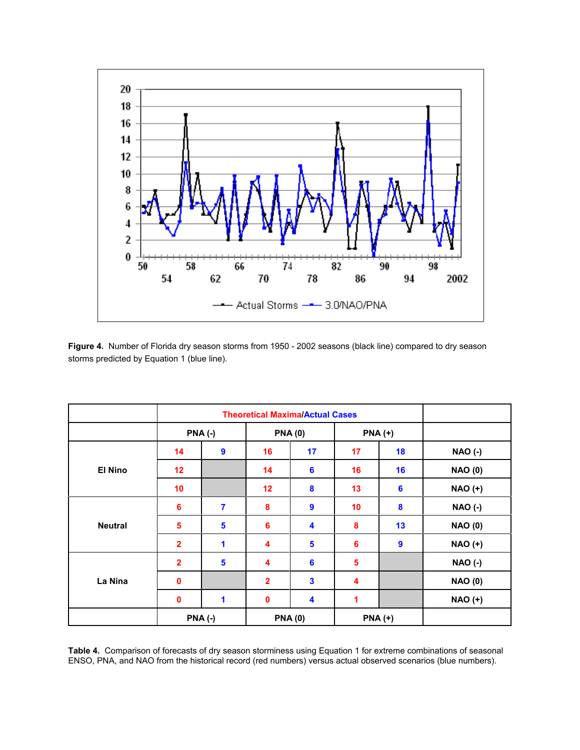

**Figure 4.** Number of Florida dry season storms from 1950 - 2002 seasons (black line) compared to dry season storms predicted by Equation 1 (blue line).

|                | <b>Theoretical Maxima/Actual Cases</b> |                         |                |                  |           |                  |                |
|----------------|----------------------------------------|-------------------------|----------------|------------------|-----------|------------------|----------------|
|                | <b>PNA (-)</b>                         |                         | <b>PNA(0)</b>  |                  | $PNA (+)$ |                  |                |
| <b>El Nino</b> | 14                                     | $\overline{9}$          | 16             | 17               | 17        | 18               | <b>NAO (-)</b> |
|                | 12                                     |                         | 14             | 6                | 16        | 16               | <b>NAO (0)</b> |
|                | 10                                     |                         | 12             | 8                | 13        | $6\phantom{1}6$  | <b>NAO (+)</b> |
|                | 6                                      | $\overline{\mathbf{7}}$ | 8              | $\boldsymbol{9}$ | 10        | 8                | <b>NAO (-)</b> |
| <b>Neutral</b> | 5                                      | 5                       | 6              | 4                | 8         | 13               | <b>NAO (0)</b> |
|                | $\overline{\mathbf{2}}$                | 1                       | 4              | 5                | 6         | $\boldsymbol{9}$ | <b>NAO (+)</b> |
| La Nina        | $\overline{\mathbf{2}}$                | 5                       | 4              | $6\phantom{a}$   | 5         |                  | <b>NAO (-)</b> |
|                | $\mathbf 0$                            |                         | $\overline{2}$ | 3                | 4         |                  | <b>NAO (0)</b> |
|                | $\pmb{0}$                              | 1                       | $\mathbf 0$    | 4                | 1         |                  | <b>NAO (+)</b> |
|                | <b>PNA (-)</b>                         |                         |                | <b>PNA(0)</b>    |           | $PNA (+)$        |                |

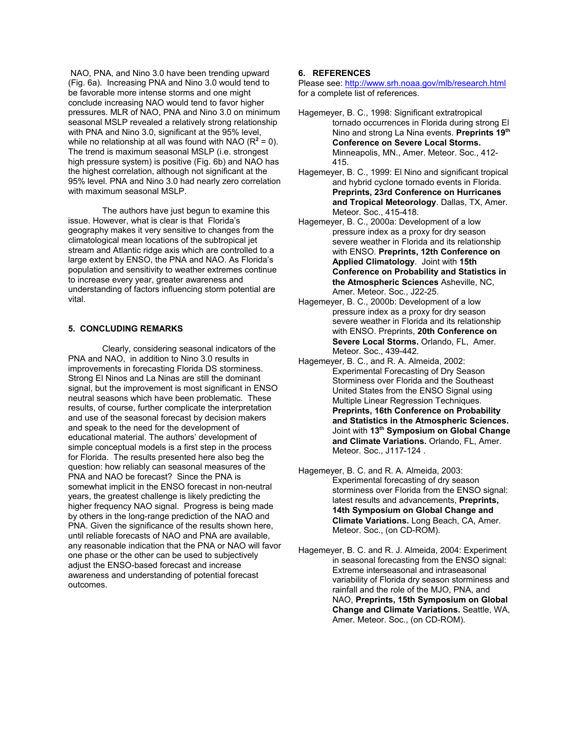NAO, PNA, and Nino 3.0 have been trending upward (Fig. 6a). Increasing PNA and Nino 3.0 would tend to be favorable more intense storms and one might conclude increasing NAO would tend to favor higher pressures. MLR of NAO, PNA and Nino 3.0 on minimum seasonal MSLP revealed a relatively strong relationship with PNA and Nino 3.0, significant at the 95% level, while no relationship at all was found with NAO  $(R^2 = 0)$ . The trend is maximum seasonal MSLP (i.e. strongest high pressure system) is positive (Fig. 6b) and NAO has the highest correlation, although not significant at the 95% level. PNA and Nino 3.0 had nearly zero correlation with maximum seasonal MSLP.

The authors have just begun to examine this issue. However, what is clear is that Florida's geography makes it very sensitive to changes from the climatological mean locations of the subtropical jet stream and Atlantic ridge axis which are controlled to a large extent by ENSO, the PNA and NAO. As Florida's population and sensitivity to weather extremes continue to increase every year, greater awareness and understanding of factors influencing storm potential are vital.

### **5. CONCLUDING REMARKS**

Clearly, considering seasonal indicators of the PNA and NAO, in addition to Nino 3.0 results in improvements in forecasting Florida DS storminess. Strong El Ninos and La Ninas are still the dominant signal, but the improvement is most significant in ENSO neutral seasons which have been problematic. These results, of course, further complicate the interpretation and use of the seasonal forecast by decision makers and speak to the need for the development of educational material. The authors' development of simple conceptual models is a first step in the process for Florida. The results presented here also beg the question: how reliably can seasonal measures of the PNA and NAO be forecast? Since the PNA is somewhat implicit in the ENSO forecast in non-neutral years, the greatest challenge is likely predicting the higher frequency NAO signal. Progress is being made by others in the long-range prediction of the NAO and PNA. Given the significance of the results shown here, until reliable forecasts of NAO and PNA are available, any reasonable indication that the PNA or NAO will favor one phase or the other can be used to subjectively adjust the ENSO-based forecast and increase awareness and understanding of potential forecast outcomes.

# **6. REFERENCES**

Please see: http://www.srh.noaa.gov/mlb/research.html for a complete list of references.

- Hagemeyer, B. C., 1998: Significant extratropical tornado occurrences in Florida during strong El Nino and strong La Nina events. **Preprints 19th Conference on Severe Local Storms.** Minneapolis, MN., Amer. Meteor. Soc., 412- 415.
- Hagemeyer, B. C., 1999: El Nino and significant tropical and hybrid cyclone tornado events in Florida. **Preprints, 23rd Conference on Hurricanes and Tropical Meteorology**. Dallas, TX, Amer. Meteor. Soc., 415-418.
- Hagemeyer, B. C., 2000a: Development of a low pressure index as a proxy for dry season severe weather in Florida and its relationship with ENSO. **Preprints, 12th Conference on Applied Climatology**. Joint with **15th Conference on Probability and Statistics in the Atmospheric Sciences** Asheville, NC, Amer. Meteor. Soc., J22-25.
- Hagemeyer, B. C., 2000b: Development of a low pressure index as a proxy for dry season severe weather in Florida and its relationship with ENSO. Preprints, **20th Conference on Severe Local Storms.** Orlando, FL, Amer. Meteor. Soc., 439-442.
- Hagemeyer, B. C., and R. A. Almeida, 2002: Experimental Forecasting of Dry Season Storminess over Florida and the Southeast United States from the ENSO Signal using Multiple Linear Regression Techniques. **Preprints, 16th Conference on Probability and Statistics in the Atmospheric Sciences.** Joint with **13th Symposium on Global Change and Climate Variations.** Orlando, FL, Amer. Meteor. Soc., J117-124 .
- Hagemeyer, B. C. and R. A. Almeida, 2003: Experimental forecasting of dry season storminess over Florida from the ENSO signal: latest results and advancements, **Preprints, 14th Symposium on Global Change and Climate Variations.** Long Beach, CA, Amer. Meteor. Soc., (on CD-ROM).
- Hagemeyer, B. C. and R. J. Almeida, 2004: Experiment in seasonal forecasting from the ENSO signal: Extreme interseasonal and intraseasonal variability of Florida dry season storminess and rainfall and the role of the MJO, PNA, and NAO, **Preprints, 15th Symposium on Global Change and Climate Variations.** Seattle, WA, Amer. Meteor. Soc., (on CD-ROM).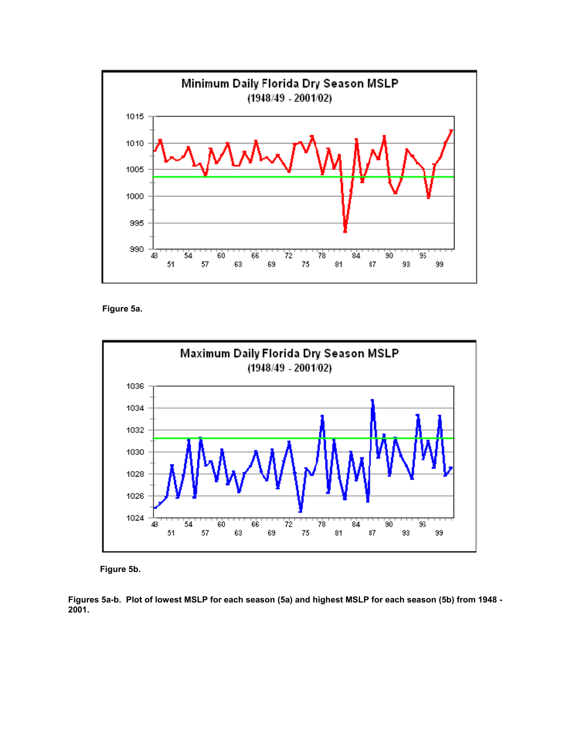

**Figure 5a.**



**Figure 5b.** 

**Figures 5a-b. Plot of lowest MSLP for each season (5a) and highest MSLP for each season (5b) from 1948 - 2001.**